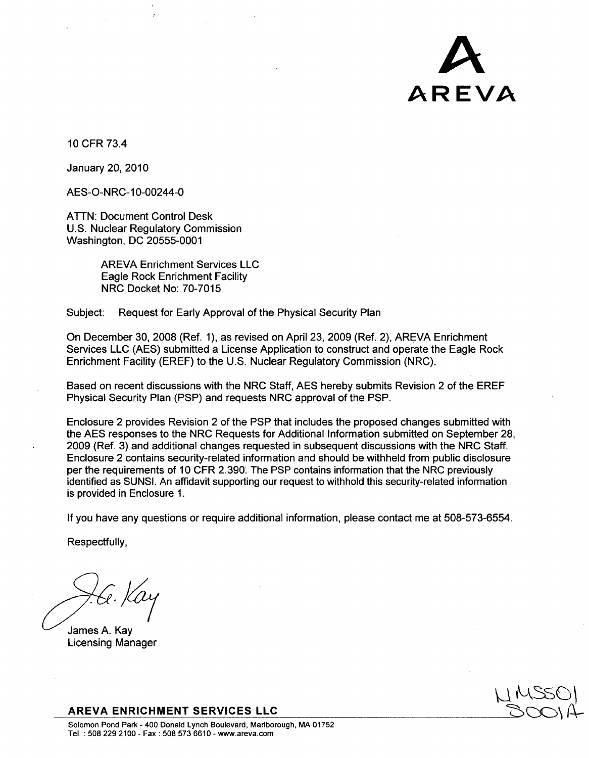

**10** CFR 73.4

January 20, 2010

AES-O-NRC-10-00244-0

ATTN: Document Control Desk U.S. Nuclear Regulatory Commission Washington, DC 20555-0001

> AREVA Enrichment Services LLC Eagle Rock Enrichment Facility NRC Docket No: 70-7015

Subject: Request for Early Approval of the Physical Security Plan

On December 30, 2008 (Ref. **1),** as revised on April 23, 2009 (Ref. 2), AREVA Enrichment Services LLC (AES) submitted a License Application to construct and operate the Eagle Rock Enrichment Facility (EREF) to the U.S. Nuclear Regulatory Commission (NRC).

Based on recent discussions with the NRC Staff, AES hereby submits Revision 2 of the EREF Physical Security Plan (PSP) and requests NRC approval of the PSP.

Enclosure 2 provides Revision 2 of the PSP that includes the proposed changes submitted with the AES responses to the NRC Requests for Additional Information submitted on September 28, 2009 (Ref. 3) and additional changes requested in subsequent discussions with the NRC Staff. Enclosure 2 contains security-related information and should be withheld from public disclosure per the requirements of **10** CFR 2.390' The PSP contains information that the NRC previously identified as SUNSI. An affidavit supporting our request to withhold this security-related information is provided in Enclosure 1.

If you have any questions or require additional information, please contact me at 508-573-6554.

Respectfully,

James A. Kay Licensing Manager

**'-';z ý-s C)**

AREVA **ENRICHMENT SERVICES LLC**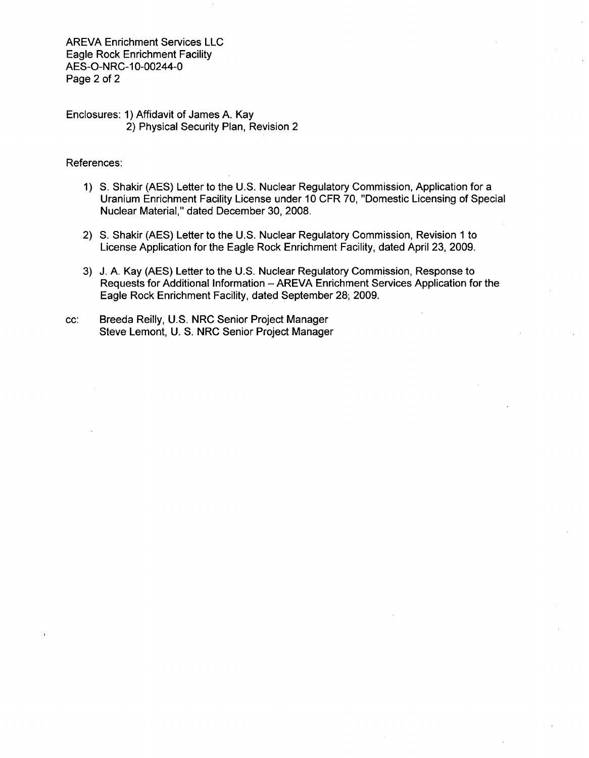AREVA Enrichment Services LLC Eagle Rock Enrichment Facility AES-O-NRC-10-00244-0 Page 2 of 2

Enclosures: 1) Affidavit of James A. Kay 2) Physical Security Plan, Revision 2

## References:

- 1) **S.** Shakir (AES) Letter to the U.S. Nuclear Regulatory Commission, Application for a Uranium Enrichment Facility License under 10 CFR 70, "Domestic Licensing of Special Nuclear Material," dated December 30, 2008.
- 2) **S.** Shakir (AES) Letter to the U.S. Nuclear Regulatory Commission, Revision 1 to License Application for the Eagle Rock Enrichment Facility, dated April 23, 2009.
- 3) J. A. Kay (AES) Letter to the U.S. Nuclear Regulatory Commission, Response to Requests for Additional Information - AREVA Enrichment Services Application for the Eagle Rock Enrichment Facility, dated September 28; 2009.
- cc: Breeda Reilly, U.S. NRC Senior Project Manager Steve Lemont, U. S. NRC Senior Project Manager